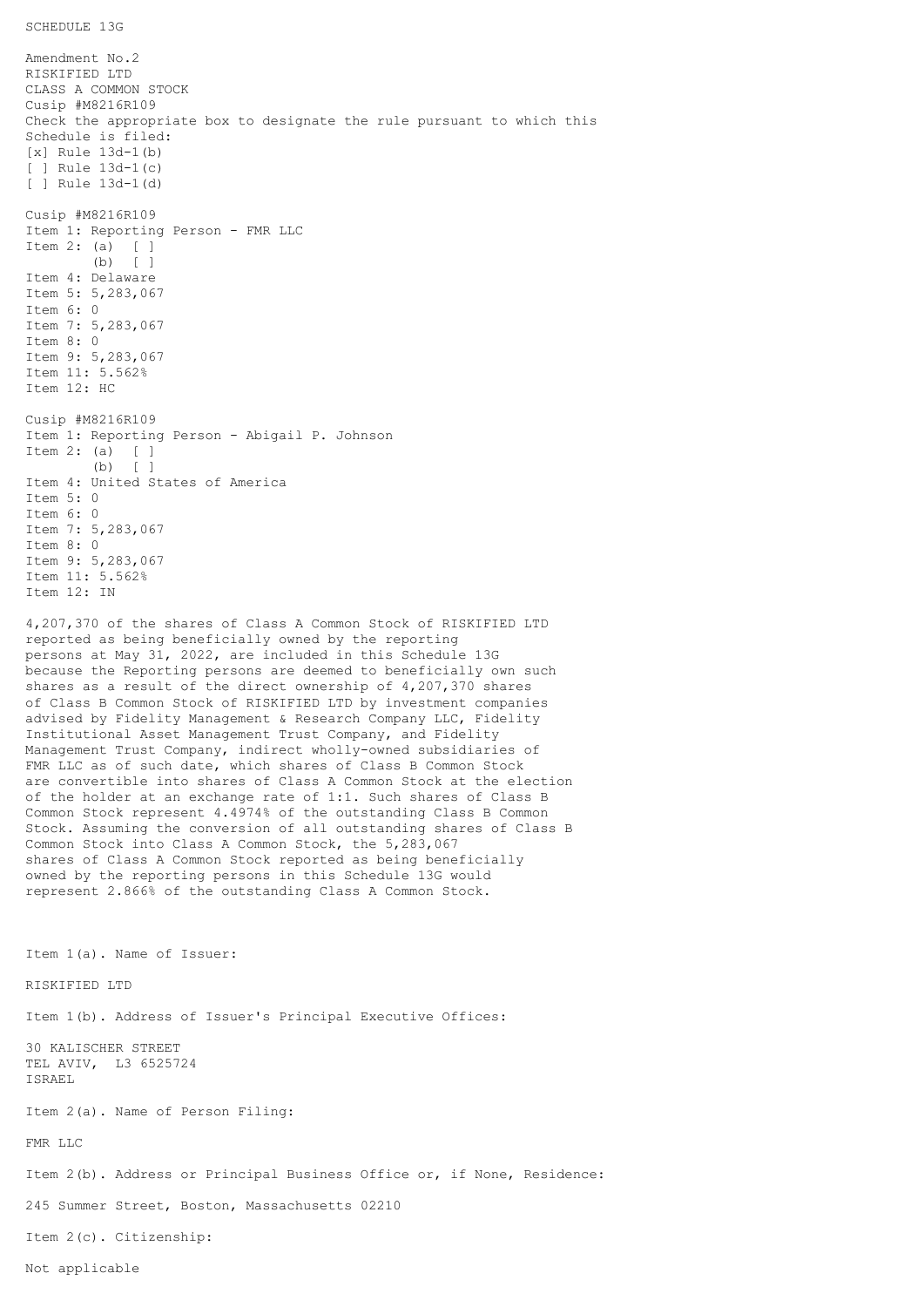## SCHEDULE 13G

Amendment No.2 RISKIFIED LTD CLASS A COMMON STOCK Cusip #M8216R109 Check the appropriate box to designate the rule pursuant to which this Schedule is filed: [x] Rule 13d-1(b) [ ] Rule 13d-1(c) [ ] Rule 13d-1(d) Cusip #M8216R109 Item 1: Reporting Person - FMR LLC Item 2: (a) [ ] (b) [ ] Item 4: Delaware Item 5: 5,283,067 Item 6: 0 Item 7: 5,283,067 Item 8: 0 Item 9: 5,283,067 Item 11: 5.562% Item 12: HC Cusip #M8216R109 Item 1: Reporting Person - Abigail P. Johnson Item 2: (a) [ ] (b) [ ] Item 4: United States of America Item 5: 0 Item 6: 0 Item 7: 5,283,067 Item 8: 0 Item 9: 5,283,067 Item 11: 5.562% Item 12: IN 4,207,370 of the shares of Class A Common Stock of RISKIFIED LTD reported as being beneficially owned by the reporting persons at May 31, 2022, are included in this Schedule 13G because the Reporting persons are deemed to beneficially own such shares as a result of the direct ownership of 4,207,370 shares of Class B Common Stock of RISKIFIED LTD by investment companies advised by Fidelity Management & Research Company LLC, Fidelity Institutional Asset Management Trust Company, and Fidelity Management Trust Company, indirect wholly-owned subsidiaries of FMR LLC as of such date, which shares of Class B Common Stock are convertible into shares of Class A Common Stock at the election of the holder at an exchange rate of 1:1. Such shares of Class B Common Stock represent 4.4974% of the outstanding Class B Common Stock. Assuming the conversion of all outstanding shares of Class B Common Stock into Class A Common Stock, the 5,283,067 shares of Class A Common Stock reported as being beneficially owned by the reporting persons in this Schedule 13G would represent 2.866% of the outstanding Class A Common Stock. Item 1(a). Name of Issuer: RISKIFIED LTD Item 1(b). Address of Issuer's Principal Executive Offices: 30 KALISCHER STREET TEL AVIV, L3 6525724 ISRAEL

Item 2(a). Name of Person Filing:

FMR LLC

Item 2(b). Address or Principal Business Office or, if None, Residence:

245 Summer Street, Boston, Massachusetts 02210

Item 2(c). Citizenship: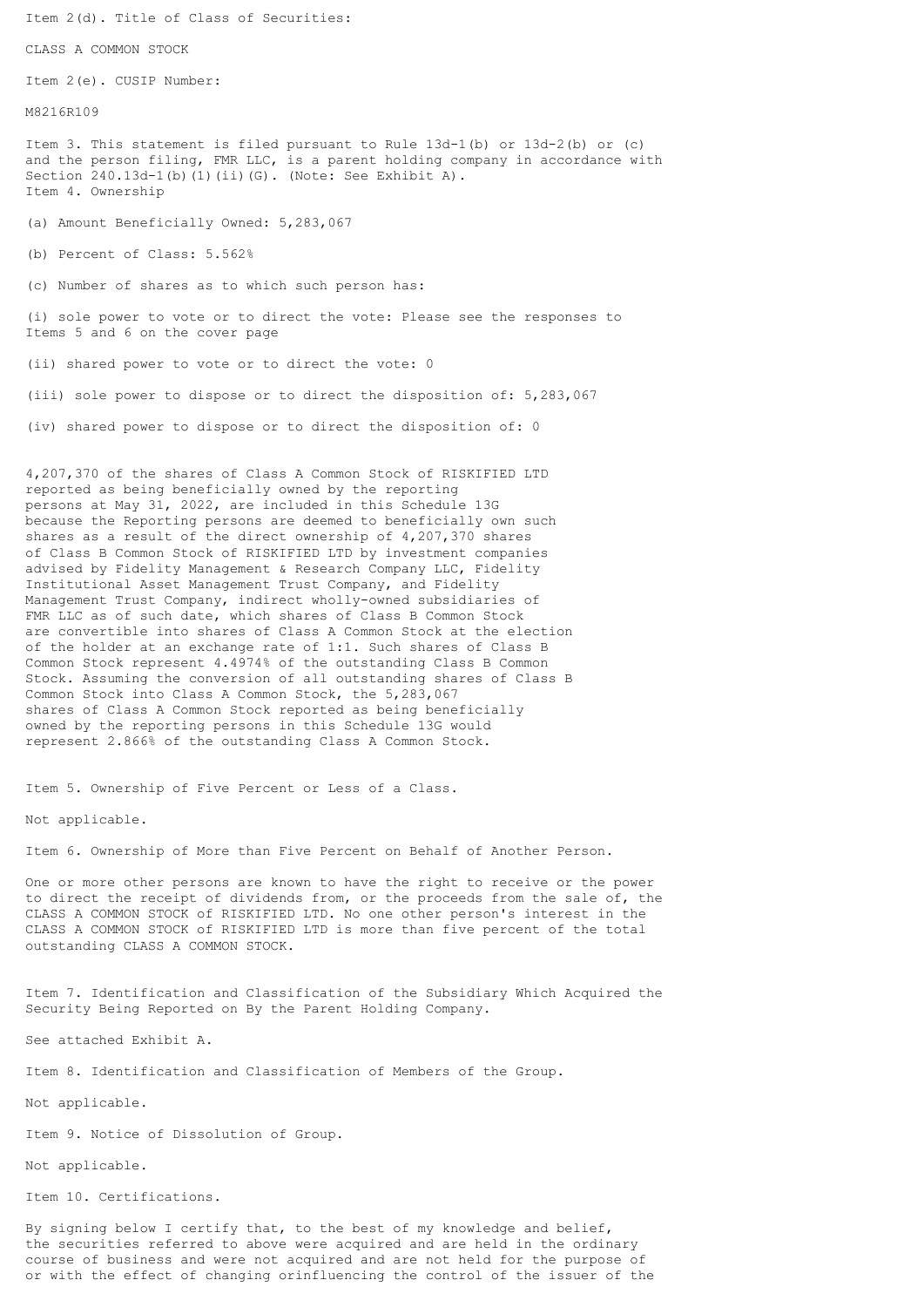Item 2(d). Title of Class of Securities:

CLASS A COMMON STOCK

Item 2(e). CUSIP Number:

M8216R109

Item 3. This statement is filed pursuant to Rule 13d-1(b) or 13d-2(b) or (c) and the person filing, FMR LLC, is a parent holding company in accordance with Section 240.13d-1(b)(1)(ii)(G). (Note: See Exhibit A). Item 4. Ownership

(a) Amount Beneficially Owned: 5,283,067

(b) Percent of Class: 5.562%

(c) Number of shares as to which such person has:

(i) sole power to vote or to direct the vote: Please see the responses to Items 5 and 6 on the cover page

(ii) shared power to vote or to direct the vote: 0

(iii) sole power to dispose or to direct the disposition of: 5,283,067

(iv) shared power to dispose or to direct the disposition of: 0

4,207,370 of the shares of Class A Common Stock of RISKIFIED LTD reported as being beneficially owned by the reporting persons at May 31, 2022, are included in this Schedule 13G because the Reporting persons are deemed to beneficially own such shares as a result of the direct ownership of 4,207,370 shares of Class B Common Stock of RISKIFIED LTD by investment companies advised by Fidelity Management & Research Company LLC, Fidelity Institutional Asset Management Trust Company, and Fidelity Management Trust Company, indirect wholly-owned subsidiaries of FMR LLC as of such date, which shares of Class B Common Stock are convertible into shares of Class A Common Stock at the election of the holder at an exchange rate of 1:1. Such shares of Class B Common Stock represent 4.4974% of the outstanding Class B Common Stock. Assuming the conversion of all outstanding shares of Class B Common Stock into Class A Common Stock, the 5,283,067 shares of Class A Common Stock reported as being beneficially owned by the reporting persons in this Schedule 13G would represent 2.866% of the outstanding Class A Common Stock.

Item 5. Ownership of Five Percent or Less of a Class.

Not applicable.

Item 6. Ownership of More than Five Percent on Behalf of Another Person.

One or more other persons are known to have the right to receive or the power to direct the receipt of dividends from, or the proceeds from the sale of, the CLASS A COMMON STOCK of RISKIFIED LTD. No one other person's interest in the CLASS A COMMON STOCK of RISKIFIED LTD is more than five percent of the total outstanding CLASS A COMMON STOCK.

Item 7. Identification and Classification of the Subsidiary Which Acquired the Security Being Reported on By the Parent Holding Company.

See attached Exhibit A.

Item 8. Identification and Classification of Members of the Group.

Not applicable.

Item 9. Notice of Dissolution of Group.

Not applicable.

Item 10. Certifications.

By signing below I certify that, to the best of my knowledge and belief, the securities referred to above were acquired and are held in the ordinary course of business and were not acquired and are not held for the purpose of or with the effect of changing orinfluencing the control of the issuer of the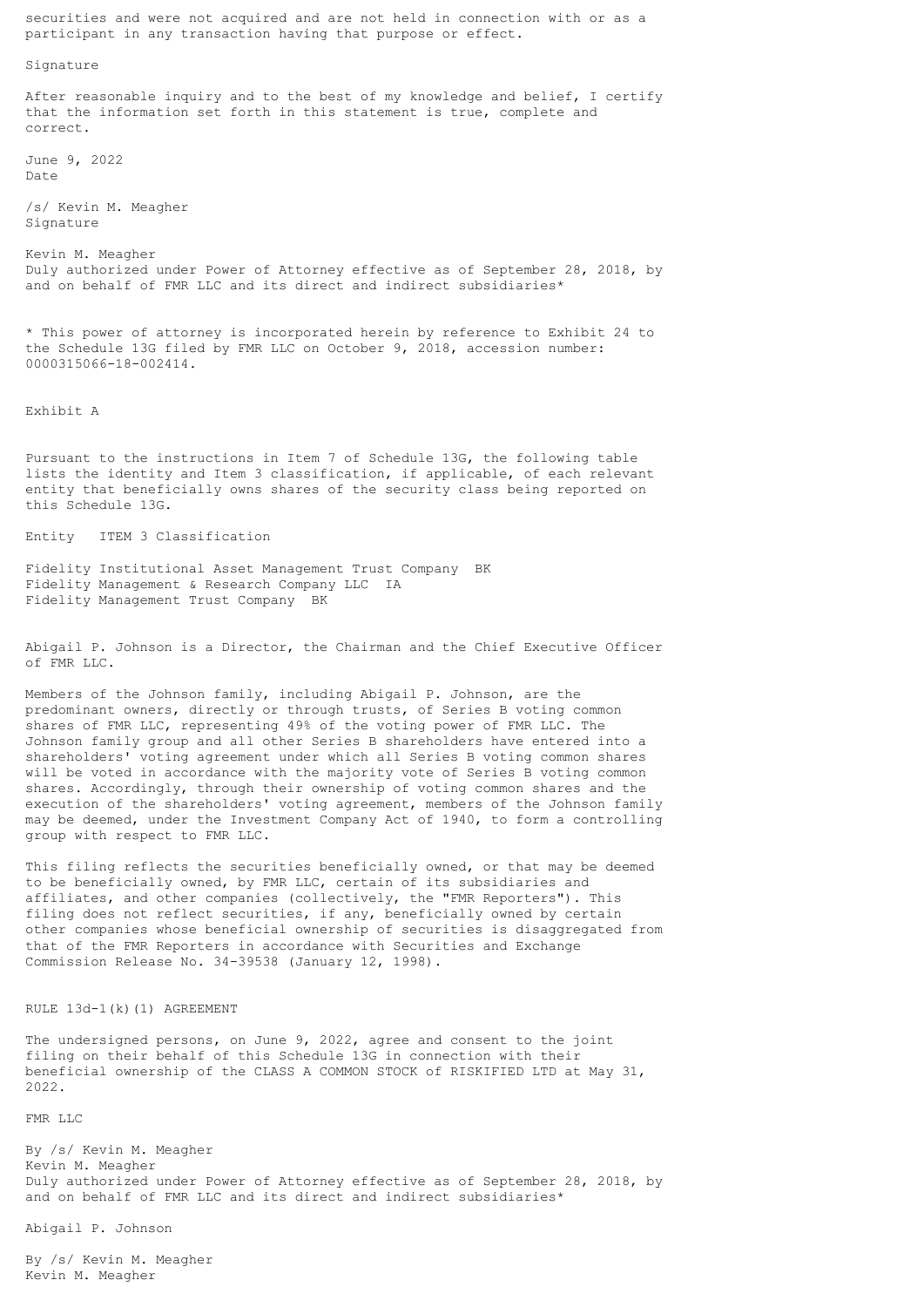securities and were not acquired and are not held in connection with or as a participant in any transaction having that purpose or effect.

Signature

After reasonable inquiry and to the best of my knowledge and belief, I certify that the information set forth in this statement is true, complete and correct.

June 9, 2022 Date

/s/ Kevin M. Meagher Signature

Kevin M. Meagher Duly authorized under Power of Attorney effective as of September 28, 2018, by and on behalf of FMR LLC and its direct and indirect subsidiaries\*

\* This power of attorney is incorporated herein by reference to Exhibit 24 to the Schedule 13G filed by FMR LLC on October 9, 2018, accession number: 0000315066-18-002414.

Exhibit A

Pursuant to the instructions in Item 7 of Schedule 13G, the following table lists the identity and Item 3 classification, if applicable, of each relevant entity that beneficially owns shares of the security class being reported on this Schedule 13G.

Entity ITEM 3 Classification

Fidelity Institutional Asset Management Trust Company BK Fidelity Management & Research Company LLC IA Fidelity Management Trust Company BK

Abigail P. Johnson is a Director, the Chairman and the Chief Executive Officer of FMR LLC.

Members of the Johnson family, including Abigail P. Johnson, are the predominant owners, directly or through trusts, of Series B voting common shares of FMR LLC, representing 49% of the voting power of FMR LLC. The Johnson family group and all other Series B shareholders have entered into a shareholders' voting agreement under which all Series B voting common shares will be voted in accordance with the majority vote of Series B voting common shares. Accordingly, through their ownership of voting common shares and the execution of the shareholders' voting agreement, members of the Johnson family may be deemed, under the Investment Company Act of 1940, to form a controlling group with respect to FMR LLC.

This filing reflects the securities beneficially owned, or that may be deemed to be beneficially owned, by FMR LLC, certain of its subsidiaries and affiliates, and other companies (collectively, the "FMR Reporters"). This filing does not reflect securities, if any, beneficially owned by certain other companies whose beneficial ownership of securities is disaggregated from that of the FMR Reporters in accordance with Securities and Exchange Commission Release No. 34-39538 (January 12, 1998).

RULE 13d-1(k)(1) AGREEMENT

The undersigned persons, on June 9, 2022, agree and consent to the joint filing on their behalf of this Schedule 13G in connection with their beneficial ownership of the CLASS A COMMON STOCK of RISKIFIED LTD at May 31, 2022.

FMR LLC

By /s/ Kevin M. Meagher Kevin M. Meagher Duly authorized under Power of Attorney effective as of September 28, 2018, by and on behalf of FMR LLC and its direct and indirect subsidiaries\*

Abigail P. Johnson

By /s/ Kevin M. Meagher Kevin M. Meagher